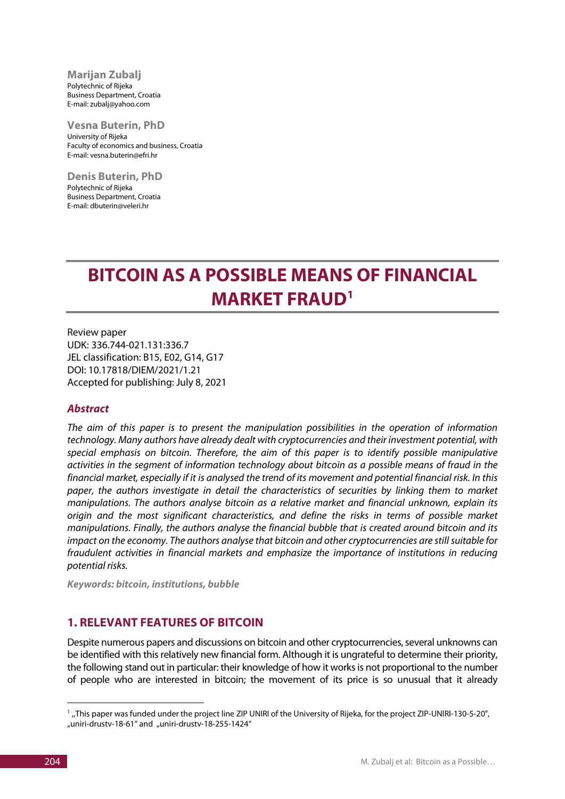**Marijan Zubalj** Polytechnic of Rijeka Business Department, Croatia E-mail: zubalj@yahoo.com

**Vesna Buterin, PhD** University of Rijeka Faculty of economics and business, Croatia E-mail: vesna.buterin@efri.hr

**Denis Buterin, PhD** Polytechnic of Rijeka Business Department, Croatia E-mail: dbuterin@veleri.hr

# **BITCOIN AS A POSSIBLE MEANS OF FINANCIAL MARKET FRAUD[1](#page-0-0)**

Review paper UDK: 336.744-021.131:336.7 JEL classification: B15, E02, G14, G17 DOI: 10.17818/DIEM/2021/1.21 Accepted for publishing: July 8, 2021

#### *Abstract*

*The aim of this paper is to present the manipulation possibilities in the operation of information technology. Many authors have already dealt with cryptocurrencies and their investment potential, with special emphasis on bitcoin. Therefore, the aim of this paper is to identify possible manipulative activities in the segment of information technology about bitcoin as a possible means of fraud in the financial market, especially if it is analysed the trend of its movement and potential financial risk. In this paper, the authors investigate in detail the characteristics of securities by linking them to market manipulations. The authors analyse bitcoin as a relative market and financial unknown, explain its origin and the most significant characteristics, and define the risks in terms of possible market manipulations. Finally, the authors analyse the financial bubble that is created around bitcoin and its impact on the economy. The authors analyse that bitcoin and other cryptocurrencies are still suitable for fraudulent activities in financial markets and emphasize the importance of institutions in reducing potential risks.*

*Keywords: bitcoin, institutions, bubble*

#### **1. RELEVANT FEATURES OF BITCOIN**

Despite numerous papers and discussions on bitcoin and other cryptocurrencies, several unknowns can be identified with this relatively new financial form. Although it is ungrateful to determine their priority, the following stand out in particular: their knowledge of how it works is not proportional to the number of people who are interested in bitcoin; the movement of its price is so unusual that it already

<u>.</u>

<span id="page-0-0"></span><sup>&</sup>lt;sup>1</sup>, This paper was funded under the project line ZIP UNIRI of the University of Rijeka, for the project ZIP-UNIRI-130-5-20", "uniri-drustv-18-61" and "uniri-drustv-18-255-1424"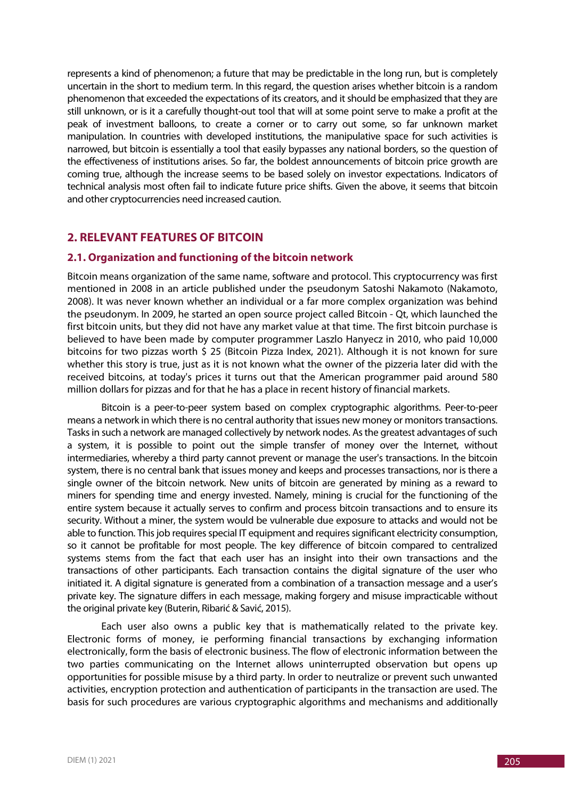represents a kind of phenomenon; a future that may be predictable in the long run, but is completely uncertain in the short to medium term. In this regard, the question arises whether bitcoin is a random phenomenon that exceeded the expectations of its creators, and it should be emphasized that they are still unknown, or is it a carefully thought-out tool that will at some point serve to make a profit at the peak of investment balloons, to create a corner or to carry out some, so far unknown market manipulation. In countries with developed institutions, the manipulative space for such activities is narrowed, but bitcoin is essentially a tool that easily bypasses any national borders, so the question of the effectiveness of institutions arises. So far, the boldest announcements of bitcoin price growth are coming true, although the increase seems to be based solely on investor expectations. Indicators of technical analysis most often fail to indicate future price shifts. Given the above, it seems that bitcoin and other cryptocurrencies need increased caution.

## **2. RELEVANT FEATURES OF BITCOIN**

#### **2.1. Organization and functioning of the bitcoin network**

Bitcoin means organization of the same name, software and protocol. This cryptocurrency was first mentioned in 2008 in an article published under the pseudonym Satoshi Nakamoto (Nakamoto, 2008). It was never known whether an individual or a far more complex organization was behind the pseudonym. In 2009, he started an open source project called Bitcoin - Qt, which launched the first bitcoin units, but they did not have any market value at that time. The first bitcoin purchase is believed to have been made by computer programmer Laszlo Hanyecz in 2010, who paid 10,000 bitcoins for two pizzas worth \$ 25 (Bitcoin Pizza Index, 2021). Although it is not known for sure whether this story is true, just as it is not known what the owner of the pizzeria later did with the received bitcoins, at today's prices it turns out that the American programmer paid around 580 million dollars for pizzas and for that he has a place in recent history of financial markets.

Bitcoin is a peer-to-peer system based on complex cryptographic algorithms. Peer-to-peer means a network in which there is no central authority that issues new money or monitors transactions. Tasks in such a network are managed collectively by network nodes. As the greatest advantages of such a system, it is possible to point out the simple transfer of money over the Internet, without intermediaries, whereby a third party cannot prevent or manage the user's transactions. In the bitcoin system, there is no central bank that issues money and keeps and processes transactions, nor is there a single owner of the bitcoin network. New units of bitcoin are generated by mining as a reward to miners for spending time and energy invested. Namely, mining is crucial for the functioning of the entire system because it actually serves to confirm and process bitcoin transactions and to ensure its security. Without a miner, the system would be vulnerable due exposure to attacks and would not be able to function. This job requires special IT equipment and requires significant electricity consumption, so it cannot be profitable for most people. The key difference of bitcoin compared to centralized systems stems from the fact that each user has an insight into their own transactions and the transactions of other participants. Each transaction contains the digital signature of the user who initiated it. A digital signature is generated from a combination of a transaction message and a user's private key. The signature differs in each message, making forgery and misuse impracticable without the original private key (Buterin, Ribarić & Savić, 2015).

Each user also owns a public key that is mathematically related to the private key. Electronic forms of money, ie performing financial transactions by exchanging information electronically, form the basis of electronic business. The flow of electronic information between the two parties communicating on the Internet allows uninterrupted observation but opens up opportunities for possible misuse by a third party. In order to neutralize or prevent such unwanted activities, encryption protection and authentication of participants in the transaction are used. The basis for such procedures are various cryptographic algorithms and mechanisms and additionally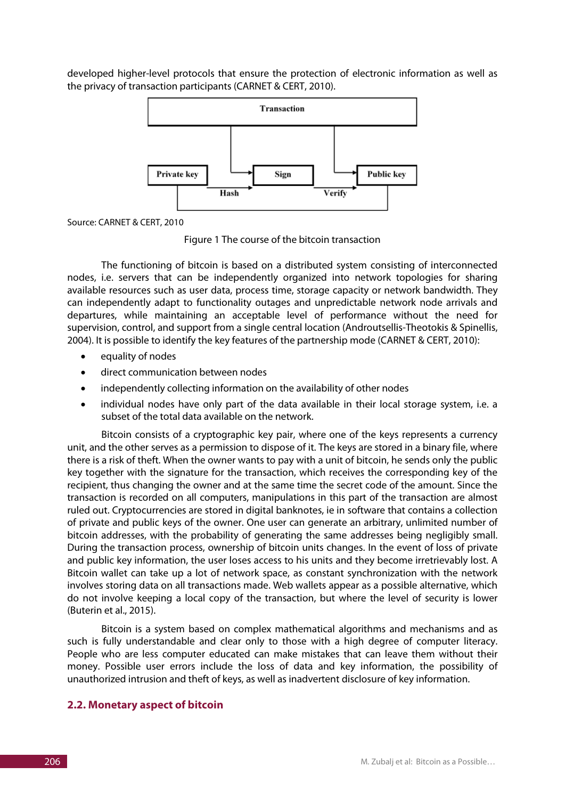developed higher-level protocols that ensure the protection of electronic information as well as the privacy of transaction participants (CARNET & CERT, 2010).



Source: CARNET & CERT, 2010

Figure 1 The course of the bitcoin transaction

The functioning of bitcoin is based on a distributed system consisting of interconnected nodes, i.e. servers that can be independently organized into network topologies for sharing available resources such as user data, process time, storage capacity or network bandwidth. They can independently adapt to functionality outages and unpredictable network node arrivals and departures, while maintaining an acceptable level of performance without the need for supervision, control, and support from a single central location (Androutsellis-Theotokis & Spinellis, 2004). It is possible to identify the key features of the partnership mode (CARNET & CERT, 2010):

- equality of nodes
- direct communication between nodes
- independently collecting information on the availability of other nodes
- individual nodes have only part of the data available in their local storage system, i.e. a subset of the total data available on the network.

Bitcoin consists of a cryptographic key pair, where one of the keys represents a currency unit, and the other serves as a permission to dispose of it. The keys are stored in a binary file, where there is a risk of theft. When the owner wants to pay with a unit of bitcoin, he sends only the public key together with the signature for the transaction, which receives the corresponding key of the recipient, thus changing the owner and at the same time the secret code of the amount. Since the transaction is recorded on all computers, manipulations in this part of the transaction are almost ruled out. Cryptocurrencies are stored in digital banknotes, ie in software that contains a collection of private and public keys of the owner. One user can generate an arbitrary, unlimited number of bitcoin addresses, with the probability of generating the same addresses being negligibly small. During the transaction process, ownership of bitcoin units changes. In the event of loss of private and public key information, the user loses access to his units and they become irretrievably lost. A Bitcoin wallet can take up a lot of network space, as constant synchronization with the network involves storing data on all transactions made. Web wallets appear as a possible alternative, which do not involve keeping a local copy of the transaction, but where the level of security is lower (Buterin et al., 2015).

Bitcoin is a system based on complex mathematical algorithms and mechanisms and as such is fully understandable and clear only to those with a high degree of computer literacy. People who are less computer educated can make mistakes that can leave them without their money. Possible user errors include the loss of data and key information, the possibility of unauthorized intrusion and theft of keys, as well as inadvertent disclosure of key information.

#### **2.2. Monetary aspect of bitcoin**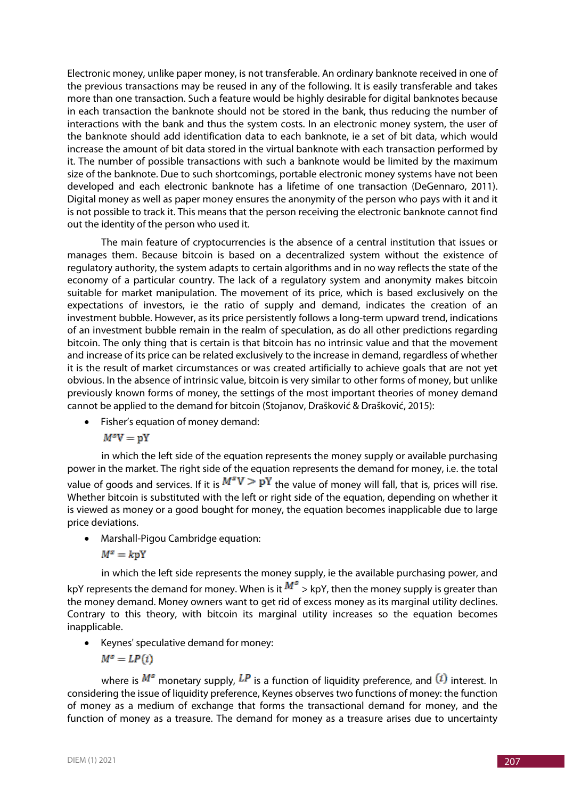Electronic money, unlike paper money, is not transferable. An ordinary banknote received in one of the previous transactions may be reused in any of the following. It is easily transferable and takes more than one transaction. Such a feature would be highly desirable for digital banknotes because in each transaction the banknote should not be stored in the bank, thus reducing the number of interactions with the bank and thus the system costs. In an electronic money system, the user of the banknote should add identification data to each banknote, ie a set of bit data, which would increase the amount of bit data stored in the virtual banknote with each transaction performed by it. The number of possible transactions with such a banknote would be limited by the maximum size of the banknote. Due to such shortcomings, portable electronic money systems have not been developed and each electronic banknote has a lifetime of one transaction (DeGennaro, 2011). Digital money as well as paper money ensures the anonymity of the person who pays with it and it is not possible to track it. This means that the person receiving the electronic banknote cannot find out the identity of the person who used it.

The main feature of cryptocurrencies is the absence of a central institution that issues or manages them. Because bitcoin is based on a decentralized system without the existence of regulatory authority, the system adapts to certain algorithms and in no way reflects the state of the economy of a particular country. The lack of a regulatory system and anonymity makes bitcoin suitable for market manipulation. The movement of its price, which is based exclusively on the expectations of investors, ie the ratio of supply and demand, indicates the creation of an investment bubble. However, as its price persistently follows a long-term upward trend, indications of an investment bubble remain in the realm of speculation, as do all other predictions regarding bitcoin. The only thing that is certain is that bitcoin has no intrinsic value and that the movement and increase of its price can be related exclusively to the increase in demand, regardless of whether it is the result of market circumstances or was created artificially to achieve goals that are not yet obvious. In the absence of intrinsic value, bitcoin is very similar to other forms of money, but unlike previously known forms of money, the settings of the most important theories of money demand cannot be applied to the demand for bitcoin (Stojanov, Drašković & Drašković, 2015):

• Fisher's equation of money demand:

 $M^sV = pY$ 

in which the left side of the equation represents the money supply or available purchasing power in the market. The right side of the equation represents the demand for money, i.e. the total value of goods and services. If it is  $M^sV \geq P\mathbf{Y}$  the value of money will fall, that is, prices will rise. Whether bitcoin is substituted with the left or right side of the equation, depending on whether it is viewed as money or a good bought for money, the equation becomes inapplicable due to large price deviations.

• Marshall-Pigou Cambridge equation:

$$
M^s=k{\bf pY}
$$

in which the left side represents the money supply, ie the available purchasing power, and kpY represents the demand for money. When is it  $M^{\mathcal{S}} >$  kpY, then the money supply is greater than the money demand. Money owners want to get rid of excess money as its marginal utility declines. Contrary to this theory, with bitcoin its marginal utility increases so the equation becomes inapplicable.

• Keynes' speculative demand for money:

$$
M^s = LP(i)
$$

where is  $M^s$  monetary supply,  $LP$  is a function of liquidity preference, and  $(i)$  interest. In considering the issue of liquidity preference, Keynes observes two functions of money: the function of money as a medium of exchange that forms the transactional demand for money, and the function of money as a treasure. The demand for money as a treasure arises due to uncertainty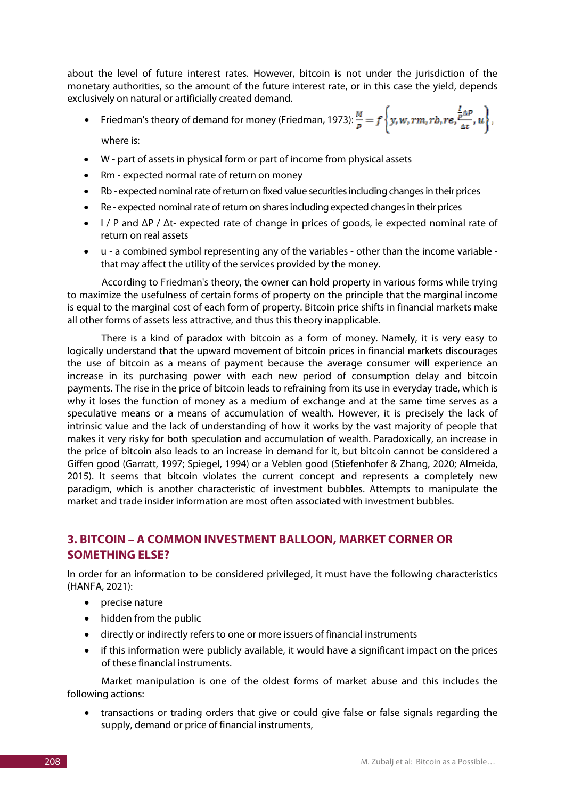about the level of future interest rates. However, bitcoin is not under the jurisdiction of the monetary authorities, so the amount of the future interest rate, or in this case the yield, depends exclusively on natural or artificially created demand.

- Friedman's theory of demand for money (Friedman, 1973):  $\frac{M}{p} = f\left\{y, w, rm, rb, re, \frac{p}{\Delta t}, u\right\},\$ where is:
- W part of assets in physical form or part of income from physical assets
- Rm expected normal rate of return on money
- Rb expected nominal rate of return on fixed value securities including changes in their prices
- Re expected nominal rate of return on shares including expected changes in their prices
- l / P and ΔP / Δt- expected rate of change in prices of goods, ie expected nominal rate of return on real assets
- u a combined symbol representing any of the variables other than the income variable that may affect the utility of the services provided by the money.

According to Friedman's theory, the owner can hold property in various forms while trying to maximize the usefulness of certain forms of property on the principle that the marginal income is equal to the marginal cost of each form of property. Bitcoin price shifts in financial markets make all other forms of assets less attractive, and thus this theory inapplicable.

There is a kind of paradox with bitcoin as a form of money. Namely, it is very easy to logically understand that the upward movement of bitcoin prices in financial markets discourages the use of bitcoin as a means of payment because the average consumer will experience an increase in its purchasing power with each new period of consumption delay and bitcoin payments. The rise in the price of bitcoin leads to refraining from its use in everyday trade, which is why it loses the function of money as a medium of exchange and at the same time serves as a speculative means or a means of accumulation of wealth. However, it is precisely the lack of intrinsic value and the lack of understanding of how it works by the vast majority of people that makes it very risky for both speculation and accumulation of wealth. Paradoxically, an increase in the price of bitcoin also leads to an increase in demand for it, but bitcoin cannot be considered a Giffen good (Garratt, 1997; Spiegel, 1994) or a Veblen good (Stiefenhofer & Zhang, 2020; Almeida, 2015). It seems that bitcoin violates the current concept and represents a completely new paradigm, which is another characteristic of investment bubbles. Attempts to manipulate the market and trade insider information are most often associated with investment bubbles.

# **3. BITCOIN – A COMMON INVESTMENT BALLOON, MARKET CORNER OR SOMETHING ELSE?**

In order for an information to be considered privileged, it must have the following characteristics (HANFA, 2021):

- precise nature
- hidden from the public
- directly or indirectly refers to one or more issuers of financial instruments
- if this information were publicly available, it would have a significant impact on the prices of these financial instruments.

Market manipulation is one of the oldest forms of market abuse and this includes the following actions:

• transactions or trading orders that give or could give false or false signals regarding the supply, demand or price of financial instruments,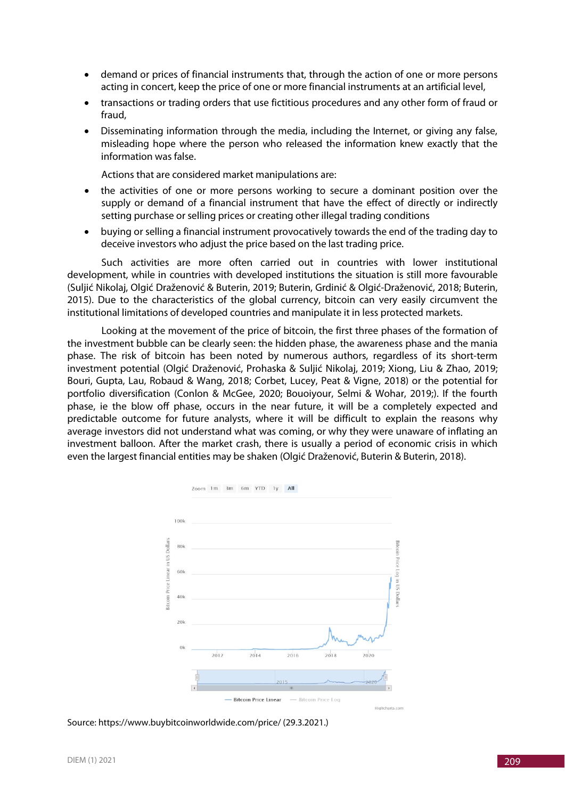- demand or prices of financial instruments that, through the action of one or more persons acting in concert, keep the price of one or more financial instruments at an artificial level,
- transactions or trading orders that use fictitious procedures and any other form of fraud or fraud,
- Disseminating information through the media, including the Internet, or giving any false, misleading hope where the person who released the information knew exactly that the information was false.

Actions that are considered market manipulations are:

- the activities of one or more persons working to secure a dominant position over the supply or demand of a financial instrument that have the effect of directly or indirectly setting purchase or selling prices or creating other illegal trading conditions
- buying or selling a financial instrument provocatively towards the end of the trading day to deceive investors who adjust the price based on the last trading price.

Such activities are more often carried out in countries with lower institutional development, while in countries with developed institutions the situation is still more favourable (Suljić Nikolaj, Olgić Draženović & Buterin, 2019; Buterin, Grdinić & Olgić-Draženović, 2018; Buterin, 2015). Due to the characteristics of the global currency, bitcoin can very easily circumvent the institutional limitations of developed countries and manipulate it in less protected markets.

Looking at the movement of the price of bitcoin, the first three phases of the formation of the investment bubble can be clearly seen: the hidden phase, the awareness phase and the mania phase. The risk of bitcoin has been noted by numerous authors, regardless of its short-term investment potential (Olgić Draženović, Prohaska & Suljić Nikolaj, 2019; Xiong, Liu & Zhao, 2019; Bouri, Gupta, Lau, Robaud & Wang, 2018; Corbet, Lucey, Peat & Vigne, 2018) or the potential for portfolio diversification (Conlon & McGee, 2020; Bouoiyour, Selmi & Wohar, 2019;). If the fourth phase, ie the blow off phase, occurs in the near future, it will be a completely expected and predictable outcome for future analysts, where it will be difficult to explain the reasons why average investors did not understand what was coming, or why they were unaware of inflating an investment balloon. After the market crash, there is usually a period of economic crisis in which even the largest financial entities may be shaken (Olgić Draženović, Buterin & Buterin, 2018).



Source: https://www.buybitcoinworldwide.com/price/ (29.3.2021.)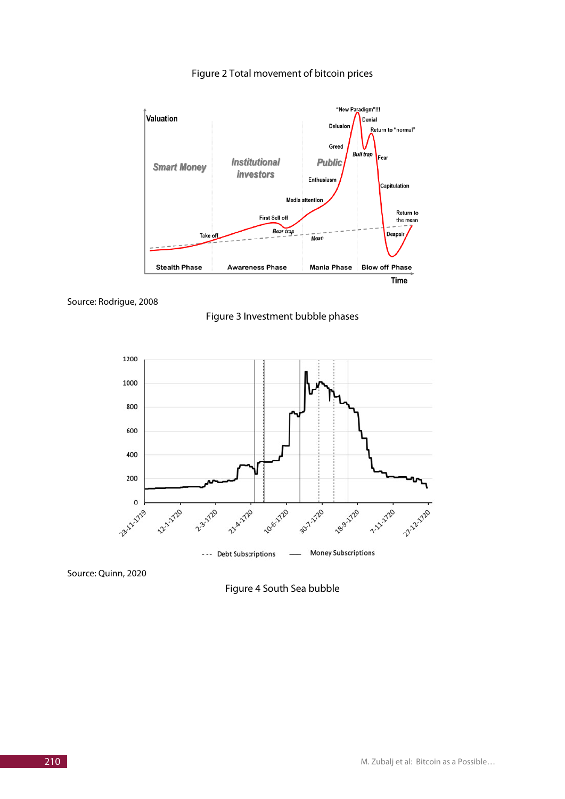

Figure 2 Total movement of bitcoin prices







Source: Quinn, 2020

Figure 4 South Sea bubble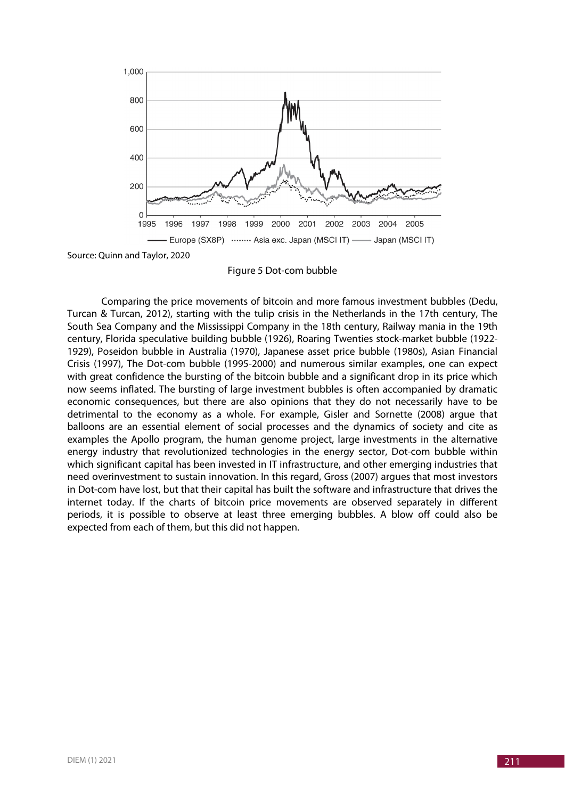

Source: Quinn and Taylor, 2020

Figure 5 Dot-com bubble

Comparing the price movements of bitcoin and more famous investment bubbles (Dedu, Turcan & Turcan, 2012), starting with the tulip crisis in the Netherlands in the 17th century, The South Sea Company and the Mississippi Company in the 18th century, Railway mania in the 19th century, Florida speculative building bubble (1926), Roaring Twenties stock-market bubble (1922- 1929), Poseidon bubble in Australia (1970), Japanese asset price bubble (1980s), Asian Financial Crisis (1997), The Dot-com bubble (1995-2000) and numerous similar examples, one can expect with great confidence the bursting of the bitcoin bubble and a significant drop in its price which now seems inflated. The bursting of large investment bubbles is often accompanied by dramatic economic consequences, but there are also opinions that they do not necessarily have to be detrimental to the economy as a whole. For example, Gisler and Sornette (2008) argue that balloons are an essential element of social processes and the dynamics of society and cite as examples the Apollo program, the human genome project, large investments in the alternative energy industry that revolutionized technologies in the energy sector, Dot-com bubble within which significant capital has been invested in IT infrastructure, and other emerging industries that need overinvestment to sustain innovation. In this regard, Gross (2007) argues that most investors in Dot-com have lost, but that their capital has built the software and infrastructure that drives the internet today. If the charts of bitcoin price movements are observed separately in different periods, it is possible to observe at least three emerging bubbles. A blow off could also be expected from each of them, but this did not happen.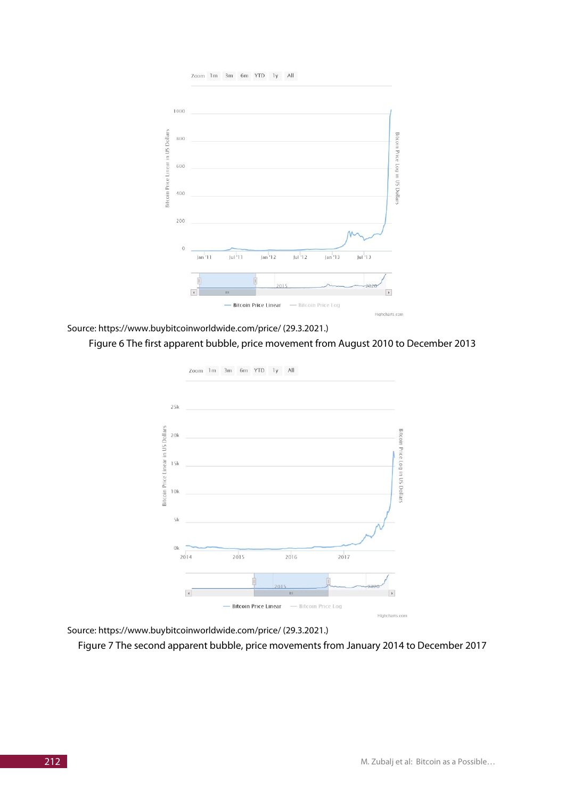



Source: https://www.buybitcoinworldwide.com/price/ (29.3.2021.)

#### Figure 6 The first apparent bubble, price movement from August 2010 to December 2013



Source: https://www.buybitcoinworldwide.com/price/ (29.3.2021.)

Figure 7 The second apparent bubble, price movements from January 2014 to December 2017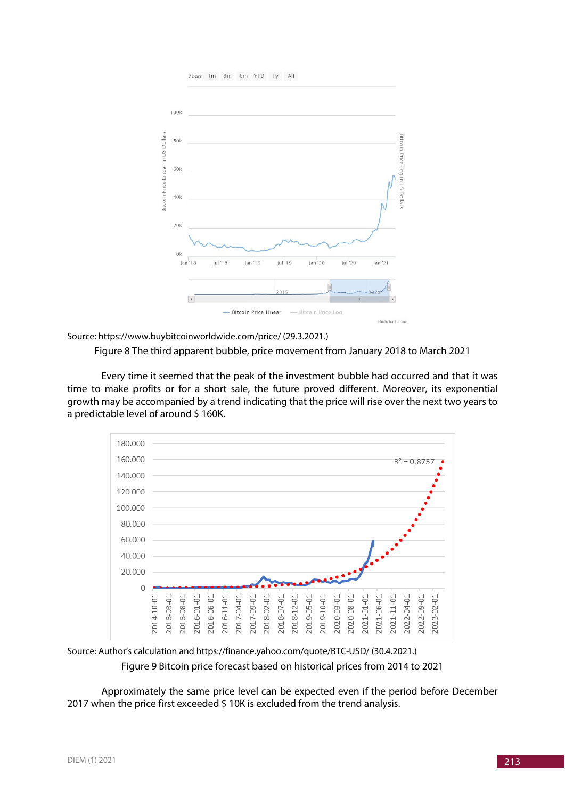

Source: https://www.buybitcoinworldwide.com/price/ (29.3.2021.)

Figure 8 The third apparent bubble, price movement from January 2018 to March 2021

Every time it seemed that the peak of the investment bubble had occurred and that it was time to make profits or for a short sale, the future proved different. Moreover, its exponential growth may be accompanied by a trend indicating that the price will rise over the next two years to a predictable level of around \$160K.



Source: Author's calculation and https://finance.yahoo.com/quote/BTC-USD/ (30.4.2021.) Figure 9 Bitcoin price forecast based on historical prices from 2014 to 2021

Approximately the same price level can be expected even if the period before December 2017 when the price first exceeded \$ 10K is excluded from the trend analysis.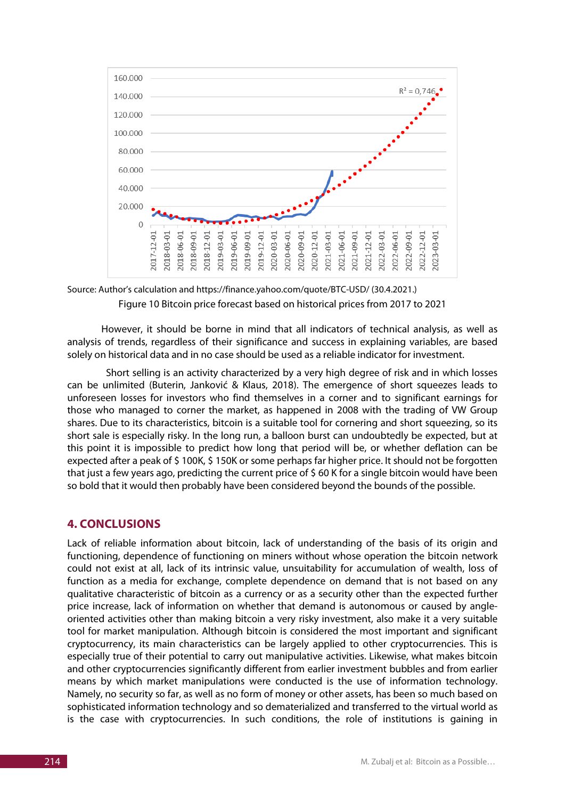



However, it should be borne in mind that all indicators of technical analysis, as well as analysis of trends, regardless of their significance and success in explaining variables, are based solely on historical data and in no case should be used as a reliable indicator for investment.

Short selling is an activity characterized by a very high degree of risk and in which losses can be unlimited (Buterin, Janković & Klaus, 2018). The emergence of short squeezes leads to unforeseen losses for investors who find themselves in a corner and to significant earnings for those who managed to corner the market, as happened in 2008 with the trading of VW Group shares. Due to its characteristics, bitcoin is a suitable tool for cornering and short squeezing, so its short sale is especially risky. In the long run, a balloon burst can undoubtedly be expected, but at this point it is impossible to predict how long that period will be, or whether deflation can be expected after a peak of \$ 100K, \$ 150K or some perhaps far higher price. It should not be forgotten that just a few years ago, predicting the current price of \$ 60 K for a single bitcoin would have been so bold that it would then probably have been considered beyond the bounds of the possible.

## **4. CONCLUSIONS**

Lack of reliable information about bitcoin, lack of understanding of the basis of its origin and functioning, dependence of functioning on miners without whose operation the bitcoin network could not exist at all, lack of its intrinsic value, unsuitability for accumulation of wealth, loss of function as a media for exchange, complete dependence on demand that is not based on any qualitative characteristic of bitcoin as a currency or as a security other than the expected further price increase, lack of information on whether that demand is autonomous or caused by angleoriented activities other than making bitcoin a very risky investment, also make it a very suitable tool for market manipulation. Although bitcoin is considered the most important and significant cryptocurrency, its main characteristics can be largely applied to other cryptocurrencies. This is especially true of their potential to carry out manipulative activities. Likewise, what makes bitcoin and other cryptocurrencies significantly different from earlier investment bubbles and from earlier means by which market manipulations were conducted is the use of information technology. Namely, no security so far, as well as no form of money or other assets, has been so much based on sophisticated information technology and so dematerialized and transferred to the virtual world as is the case with cryptocurrencies. In such conditions, the role of institutions is gaining in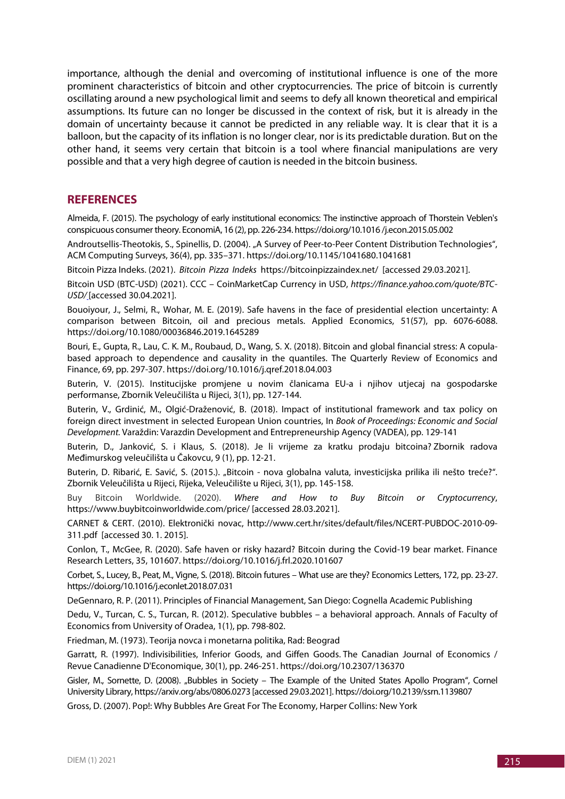importance, although the denial and overcoming of institutional influence is one of the more prominent characteristics of bitcoin and other cryptocurrencies. The price of bitcoin is currently oscillating around a new psychological limit and seems to defy all known theoretical and empirical assumptions. Its future can no longer be discussed in the context of risk, but it is already in the domain of uncertainty because it cannot be predicted in any reliable way. It is clear that it is a balloon, but the capacity of its inflation is no longer clear, nor is its predictable duration. But on the other hand, it seems very certain that bitcoin is a tool where financial manipulations are very possible and that a very high degree of caution is needed in the bitcoin business.

### **REFERENCES**

Almeida, F. (2015). The psychology of early institutional economics: The instinctive approach of Thorstein Veblen's conspicuous consumer theory. EconomiA, 16 (2), pp. 226-234. https://doi.org/10.1016 /j.econ.2015.05.002

Androutsellis-Theotokis, S., Spinellis, D. (2004). "A Survey of Peer-to-Peer Content Distribution Technologies", ACM Computing Surveys, 36(4), pp. 335–371. https://doi.org/10.1145/1041680.1041681

Bitcoin Pizza Indeks. (2021). *Bitcoin Pizza Indeks* https://bitcoinpizzaindex.net/ [accessed 29.03.2021].

Bitcoin USD (BTC-USD) (2021). CCC – CoinMarketCap Currency in USD, *https://finance.yahoo.com/quote/BTC-USD/* [accessed 30.04.2021].

Bouoiyour, J., Selmi, R., Wohar, M. E. (2019). Safe havens in the face of presidential election uncertainty: A comparison between Bitcoin, oil and precious metals. Applied Economics, 51(57), pp. 6076-6088. https://doi.org/10.1080/00036846.2019.1645289

Bouri, E., Gupta, R., Lau, C. K. M., Roubaud, D., Wang, S. X. (2018). Bitcoin and global financial stress: A copulabased approach to dependence and causality in the quantiles. The Quarterly Review of Economics and Finance, 69, pp. 297-307. https://doi.org/10.1016/j.qref.2018.04.003

Buterin, V. (2015). Institucijske promjene u novim članicama EU-a i njihov utjecaj na gospodarske performanse, Zbornik Veleučilišta u Rijeci, 3(1), pp. 127-144.

Buterin, V., Grdinić, M., Olgić-Draženović, B. (2018). Impact of institutional framework and tax policy on foreign direct investment in selected European Union countries, In *Book of Proceedings: Economic and Social Development.* Varaždin: Varazdin Development and Entrepreneurship Agency (VADEA), pp. 129-141

Buterin, D., Janković, S. i Klaus, S. (2018). Je li vrijeme za kratku prodaju bitcoina? Zbornik radova Međimurskog veleučilišta u Čakovcu, 9 (1), pp. 12-21.

Buterin, D. Ribarić, E. Savić, S. (2015.). "Bitcoin - nova globalna valuta, investicijska prilika ili nešto treće?". Zbornik Veleučilišta u Rijeci, Rijeka, Veleučilište u Rijeci, 3(1), pp. 145-158.

Buy Bitcoin Worldwide. (2020). *Where and How to Buy Bitcoin or Cryptocurrency*, https://www.buybitcoinworldwide.com/price/ [accessed 28.03.2021].

CARNET & CERT. (2010). Elektronički novac, http://www.cert.hr/sites/default/files/NCERT-PUBDOC-2010-09- 311.pdf [accessed 30. 1. 2015].

Conlon, T., McGee, R. (2020). Safe haven or risky hazard? Bitcoin during the Covid-19 bear market. Finance Research Letters, 35, 101607. https://doi.org/10.1016/j.frl.2020.101607

Corbet, S., Lucey, B., Peat, M., Vigne, S. (2018). Bitcoin futures – What use are they? Economics Letters, 172, pp. 23-27. https://doi.org/10.1016/j.econlet.2018.07.031

DeGennaro, R. P. (2011). Principles of Financial Management, San Diego: Cognella Academic Publishing

Dedu, V., Turcan, C. S., Turcan, R. (2012). Speculative bubbles – a behavioral approach. Annals of Faculty of Economics from University of Oradea, 1(1), pp. 798-802.

Friedman, M. (1973). Teorija novca i monetarna politika, Rad: Beograd

Garratt, R. (1997). Indivisibilities, Inferior Goods, and Giffen Goods. The Canadian Journal of Economics / Revue Canadienne D'Economique, 30(1), pp. 246-251. https://doi.org/10.2307/136370

Gisler, M., Sornette, D. (2008). "Bubbles in Society – The Example of the United States Apollo Program", Cornel University Library, https://arxiv.org/abs/0806.0273 [accessed 29.03.2021]. https://doi.org/10.2139/ssrn.1139807

Gross, D. (2007). Pop!: Why Bubbles Are Great For The Economy, Harper Collins: New York